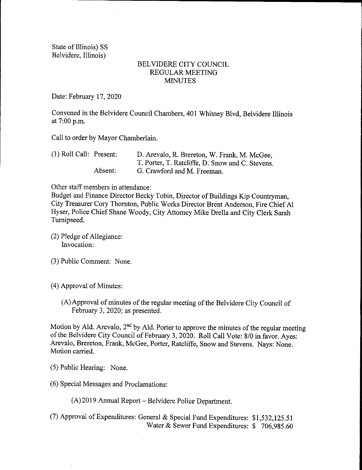State of Illinois) SS Belvidere, Illinois)

## BELVIDERE CITY COUNCIL REGULAR MEETING **MINUTES**

Date: February 17, 2020

Convened in the Belvidere Council Chambers, 401 Whitney Blvd, Belvidere Illinois at 7:00 p.m.

Call to order by Mayor Chamberlain.

| $(1)$ Roll Call: Present: |         | D. Arevalo, R. Brereton, W. Frank, M. McGee,     |
|---------------------------|---------|--------------------------------------------------|
|                           |         | T. Porter, T. Ratcliffe, D. Snow and C. Stevens. |
|                           | Absent: | G. Crawford and M. Freeman.                      |

Other staff members in attendance:

Budget and Finance Director Becky Tobin, Director of Buildings Kip Countryman, City Treasurer Cory Thornton, Public Works Director Brent Anderson, Fire Chief Al Hyser, Police Chief Shane Woody, City Attorney Mike Drella and City Clerk Sarah Turnipseed.

- 2) Pledge of Allegiance: Invocation:
- 3) Public Comment: None.
- 4) Approval of Minutes:
	- A)Approval of minutes of the regular meeting of the Belvidere City Council of February 3, 2020; as presented.

Motion by Ald. Arevalo,  $2<sup>nd</sup>$  by Ald. Porter to approve the minutes of the regular meeting of the Belvidere City Council of February 3, 2020. Roll Call Vote: 8/0 in favor. Ayes: Arevalo, Brereton, Frank, McGee, Porter, Ratcliffe, Snow and Stevens. Nays: None. Motion carried.

- 5) Public Hearing: None.
- 6) Special Messages and Proclamations:

A) 2019 Annual Report— Belvidere Police Department.

7) Approval of Expenditures: General & Special Fund Expenditures: \$ 1, 532, 125.51 Water & Sewer Fund Expenditures: \$706,985.60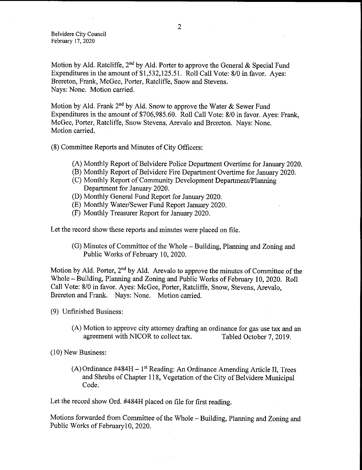Belvidere City Council February 17, 2020

Motion by Ald. Ratcliffe,  $2<sup>nd</sup>$  by Ald. Porter to approve the General & Special Fund Expenditures in the amount of \$1,532,125.51. Roll Call Vote: 8/0 in favor. Ayes: Brereton, Frank, McGee, Porter, Ratcliffe, Snow and Stevens. Nays: None. Motion carried.

Motion by Ald. Frank  $2^{nd}$  by Ald. Snow to approve the Water & Sewer Fund Expenditures in the amount of \$706,985.60. Roll Call Vote: 8/0 in favor. Ayes: Frank, McGee, Porter, Ratcliffe, Snow Stevens, Arevalo and Brereton. Nays: None. Motion carried.

8) Committee Reports and Minutes of City Officers:

- A) Monthly Report of Belvidere Police Department Overtime for January 2020.
- B) Monthly Report of Belvidere Fire Department Overtime for January 2020.
- C) Monthly Report of Community Development Department/ Planning Department for January 2020.
- D) Monthly General Fund Report for January 2020.
- E) Monthly Water/ Sewer Fund Report January 2020.
- F) Monthly Treasurer Report for January 2020.

Let the record show these reports and minutes were placed on file.

G) Minutes of Committee of the Whole— Building, Planning and Zoning and Public Works of February 10, 2020.

Motion by Ald. Porter,  $2<sup>nd</sup>$  by Ald. Arevalo to approve the minutes of Committee of the Whole— Building, Planning and Zoning and Public Works of February 10, 2020. Roll Call Vote: 8/0 in favor. Ayes: McGee, Porter, Ratcliffe, Snow, Stevens, Arevalo, Brereton and Frank. Nays: None. Motion carried.

- 9) Unfinished Business:
	- (A) Motion to approve city attorney drafting an ordinance for gas use tax and an agreement with NICOR to collect tax. Tabled October 7, 2019. agreement with NICOR to collect tax.

10) New Business:

 $(A)$  Ordinance #484H – 1<sup>st</sup> Reading: An Ordinance Amending Article II, Trees and Shrubs of Chapter 118, Vegetation of the City of Belvidere Municipal Code.

Let the record show Ord. #484H placed on file for first reading.

Motions forwarded from Committee of the Whole— Building, Planning and Zoning and Public Works of Februaryl0, 2020.